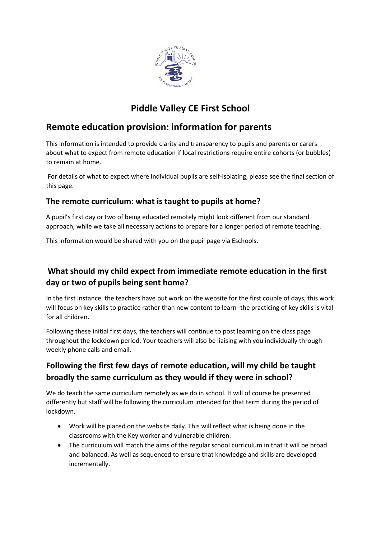

# **Piddle Valley CE First School**

# **Remote education provision: information for parents**

This information is intended to provide clarity and transparency to pupils and parents or carers about what to expect from remote education if local restrictions require entire cohorts (or bubbles) to remain at home.

For details of what to expect where individual pupils are self-isolating, please see the final section of this page.

### **The remote curriculum: what is taught to pupils at home?**

A pupil's first day or two of being educated remotely might look different from our standard approach, while we take all necessary actions to prepare for a longer period of remote teaching.

This information would be shared with you on the pupil page via Eschools.

## **What should my child expect from immediate remote education in the first day or two of pupils being sent home?**

In the first instance, the teachers have put work on the website for the first couple of days, this work will focus on key skills to practice rather than new content to learn -the practicing of key skills is vital for all children.

Following these initial first days, the teachers will continue to post learning on the class page throughout the lockdown period. Your teachers will also be liaising with you individually through weekly phone calls and email.

## **Following the first few days of remote education, will my child be taught broadly the same curriculum as they would if they were in school?**

We do teach the same curriculum remotely as we do in school. It will of course be presented differently but staff will be following the curriculum intended for that term during the period of lockdown.

- Work will be placed on the website daily. This will reflect what is being done in the classrooms with the Key worker and vulnerable children.
- The curriculum will match the aims of the regular school curriculum in that it will be broad and balanced. As well as sequenced to ensure that knowledge and skills are developed incrementally.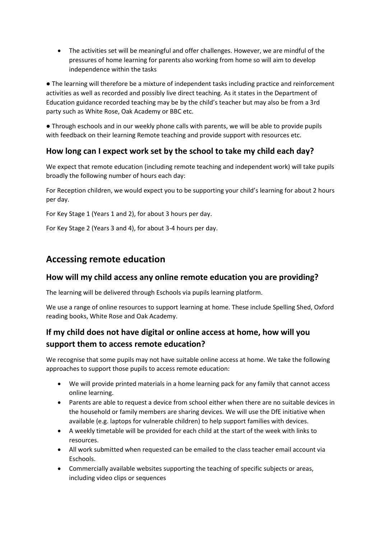The activities set will be meaningful and offer challenges. However, we are mindful of the pressures of home learning for parents also working from home so will aim to develop independence within the tasks

● The learning will therefore be a mixture of independent tasks including practice and reinforcement activities as well as recorded and possibly live direct teaching. As it states in the Department of Education guidance recorded teaching may be by the child's teacher but may also be from a 3rd party such as White Rose, Oak Academy or BBC etc.

● Through eschools and in our weekly phone calls with parents, we will be able to provide pupils with feedback on their learning Remote teaching and provide support with resources etc.

### **How long can I expect work set by the school to take my child each day?**

We expect that remote education (including remote teaching and independent work) will take pupils broadly the following number of hours each day:

For Reception children, we would expect you to be supporting your child's learning for about 2 hours per day.

For Key Stage 1 (Years 1 and 2), for about 3 hours per day.

For Key Stage 2 (Years 3 and 4), for about 3-4 hours per day.

## **Accessing remote education**

#### **How will my child access any online remote education you are providing?**

The learning will be delivered through Eschools via pupils learning platform.

We use a range of online resources to support learning at home. These include Spelling Shed, Oxford reading books, White Rose and Oak Academy.

## **If my child does not have digital or online access at home, how will you support them to access remote education?**

We recognise that some pupils may not have suitable online access at home. We take the following approaches to support those pupils to access remote education:

- We will provide printed materials in a home learning pack for any family that cannot access online learning.
- Parents are able to request a device from school either when there are no suitable devices in the household or family members are sharing devices. We will use the DfE initiative when available (e.g. laptops for vulnerable children) to help support families with devices.
- A weekly timetable will be provided for each child at the start of the week with links to resources.
- All work submitted when requested can be emailed to the class teacher email account via Eschools.
- Commercially available websites supporting the teaching of specific subjects or areas, including video clips or sequences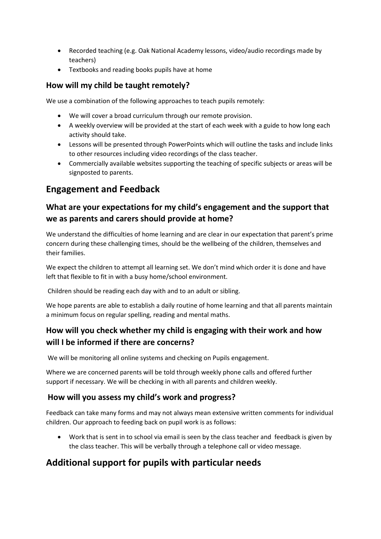- Recorded teaching (e.g. Oak National Academy lessons, video/audio recordings made by teachers)
- Textbooks and reading books pupils have at home

### **How will my child be taught remotely?**

We use a combination of the following approaches to teach pupils remotely:

- We will cover a broad curriculum through our remote provision.
- A weekly overview will be provided at the start of each week with a guide to how long each activity should take.
- Lessons will be presented through PowerPoints which will outline the tasks and include links to other resources including video recordings of the class teacher.
- Commercially available websites supporting the teaching of specific subjects or areas will be signposted to parents.

## **Engagement and Feedback**

## **What are your expectations for my child's engagement and the support that we as parents and carers should provide at home?**

We understand the difficulties of home learning and are clear in our expectation that parent's prime concern during these challenging times, should be the wellbeing of the children, themselves and their families.

We expect the children to attempt all learning set. We don't mind which order it is done and have left that flexible to fit in with a busy home/school environment.

Children should be reading each day with and to an adult or sibling.

We hope parents are able to establish a daily routine of home learning and that all parents maintain a minimum focus on regular spelling, reading and mental maths.

## **How will you check whether my child is engaging with their work and how will I be informed if there are concerns?**

We will be monitoring all online systems and checking on Pupils engagement.

Where we are concerned parents will be told through weekly phone calls and offered further support if necessary. We will be checking in with all parents and children weekly.

#### **How will you assess my child's work and progress?**

Feedback can take many forms and may not always mean extensive written comments for individual children. Our approach to feeding back on pupil work is as follows:

 Work that is sent in to school via email is seen by the class teacher and feedback is given by the class teacher. This will be verbally through a telephone call or video message.

# **Additional support for pupils with particular needs**